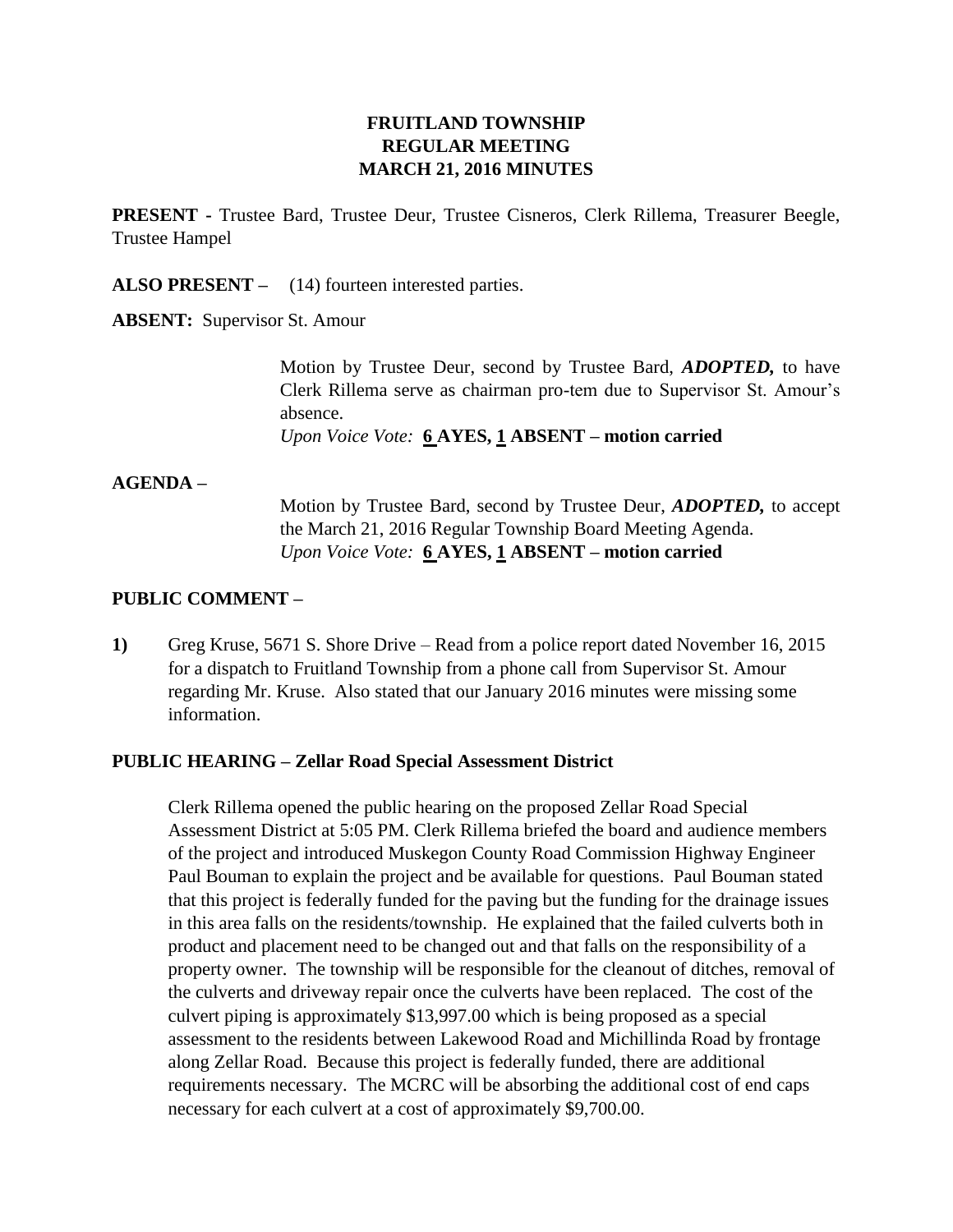# **FRUITLAND TOWNSHIP REGULAR MEETING MARCH 21, 2016 MINUTES**

**PRESENT -** Trustee Bard, Trustee Deur, Trustee Cisneros, Clerk Rillema, Treasurer Beegle, Trustee Hampel

**ALSO PRESENT –** (14) fourteen interested parties.

**ABSENT:** Supervisor St. Amour

Motion by Trustee Deur, second by Trustee Bard, *ADOPTED,* to have Clerk Rillema serve as chairman pro-tem due to Supervisor St. Amour's absence.

*Upon Voice Vote:* **6 AYES, 1 ABSENT – motion carried**

#### **AGENDA –**

Motion by Trustee Bard, second by Trustee Deur, *ADOPTED,* to accept the March 21, 2016 Regular Township Board Meeting Agenda. *Upon Voice Vote:* **6 AYES, 1 ABSENT – motion carried**

#### **PUBLIC COMMENT –**

**1)** Greg Kruse, 5671 S. Shore Drive – Read from a police report dated November 16, 2015 for a dispatch to Fruitland Township from a phone call from Supervisor St. Amour regarding Mr. Kruse. Also stated that our January 2016 minutes were missing some information.

#### **PUBLIC HEARING – Zellar Road Special Assessment District**

Clerk Rillema opened the public hearing on the proposed Zellar Road Special Assessment District at 5:05 PM. Clerk Rillema briefed the board and audience members of the project and introduced Muskegon County Road Commission Highway Engineer Paul Bouman to explain the project and be available for questions. Paul Bouman stated that this project is federally funded for the paving but the funding for the drainage issues in this area falls on the residents/township. He explained that the failed culverts both in product and placement need to be changed out and that falls on the responsibility of a property owner. The township will be responsible for the cleanout of ditches, removal of the culverts and driveway repair once the culverts have been replaced. The cost of the culvert piping is approximately \$13,997.00 which is being proposed as a special assessment to the residents between Lakewood Road and Michillinda Road by frontage along Zellar Road. Because this project is federally funded, there are additional requirements necessary. The MCRC will be absorbing the additional cost of end caps necessary for each culvert at a cost of approximately \$9,700.00.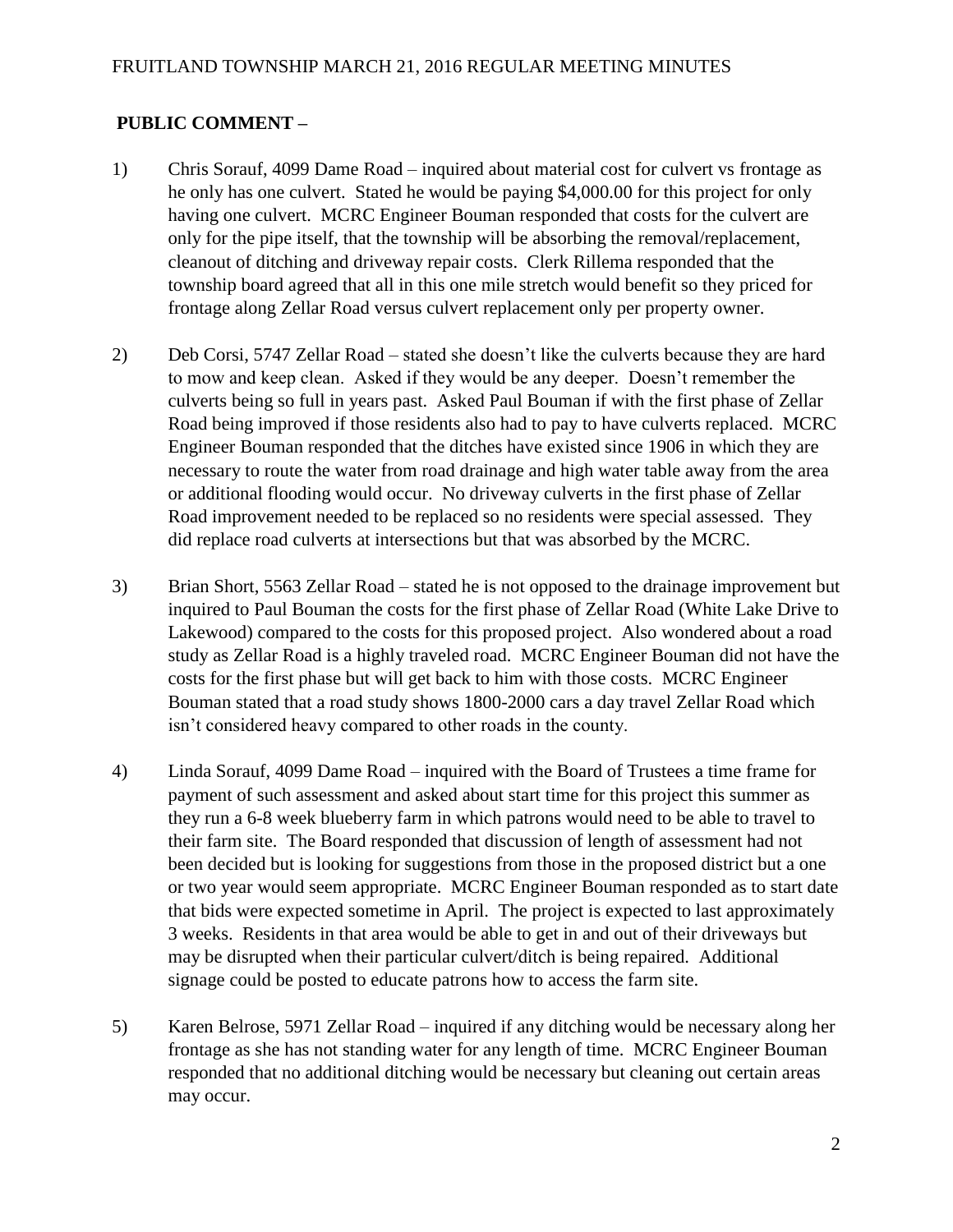# **PUBLIC COMMENT –**

- 1) Chris Sorauf, 4099 Dame Road inquired about material cost for culvert vs frontage as he only has one culvert. Stated he would be paying \$4,000.00 for this project for only having one culvert. MCRC Engineer Bouman responded that costs for the culvert are only for the pipe itself, that the township will be absorbing the removal/replacement, cleanout of ditching and driveway repair costs. Clerk Rillema responded that the township board agreed that all in this one mile stretch would benefit so they priced for frontage along Zellar Road versus culvert replacement only per property owner.
- 2) Deb Corsi, 5747 Zellar Road stated she doesn't like the culverts because they are hard to mow and keep clean. Asked if they would be any deeper. Doesn't remember the culverts being so full in years past. Asked Paul Bouman if with the first phase of Zellar Road being improved if those residents also had to pay to have culverts replaced. MCRC Engineer Bouman responded that the ditches have existed since 1906 in which they are necessary to route the water from road drainage and high water table away from the area or additional flooding would occur. No driveway culverts in the first phase of Zellar Road improvement needed to be replaced so no residents were special assessed. They did replace road culverts at intersections but that was absorbed by the MCRC.
- 3) Brian Short, 5563 Zellar Road stated he is not opposed to the drainage improvement but inquired to Paul Bouman the costs for the first phase of Zellar Road (White Lake Drive to Lakewood) compared to the costs for this proposed project. Also wondered about a road study as Zellar Road is a highly traveled road. MCRC Engineer Bouman did not have the costs for the first phase but will get back to him with those costs. MCRC Engineer Bouman stated that a road study shows 1800-2000 cars a day travel Zellar Road which isn't considered heavy compared to other roads in the county.
- 4) Linda Sorauf, 4099 Dame Road inquired with the Board of Trustees a time frame for payment of such assessment and asked about start time for this project this summer as they run a 6-8 week blueberry farm in which patrons would need to be able to travel to their farm site. The Board responded that discussion of length of assessment had not been decided but is looking for suggestions from those in the proposed district but a one or two year would seem appropriate. MCRC Engineer Bouman responded as to start date that bids were expected sometime in April. The project is expected to last approximately 3 weeks. Residents in that area would be able to get in and out of their driveways but may be disrupted when their particular culvert/ditch is being repaired. Additional signage could be posted to educate patrons how to access the farm site.
- 5) Karen Belrose, 5971 Zellar Road inquired if any ditching would be necessary along her frontage as she has not standing water for any length of time. MCRC Engineer Bouman responded that no additional ditching would be necessary but cleaning out certain areas may occur.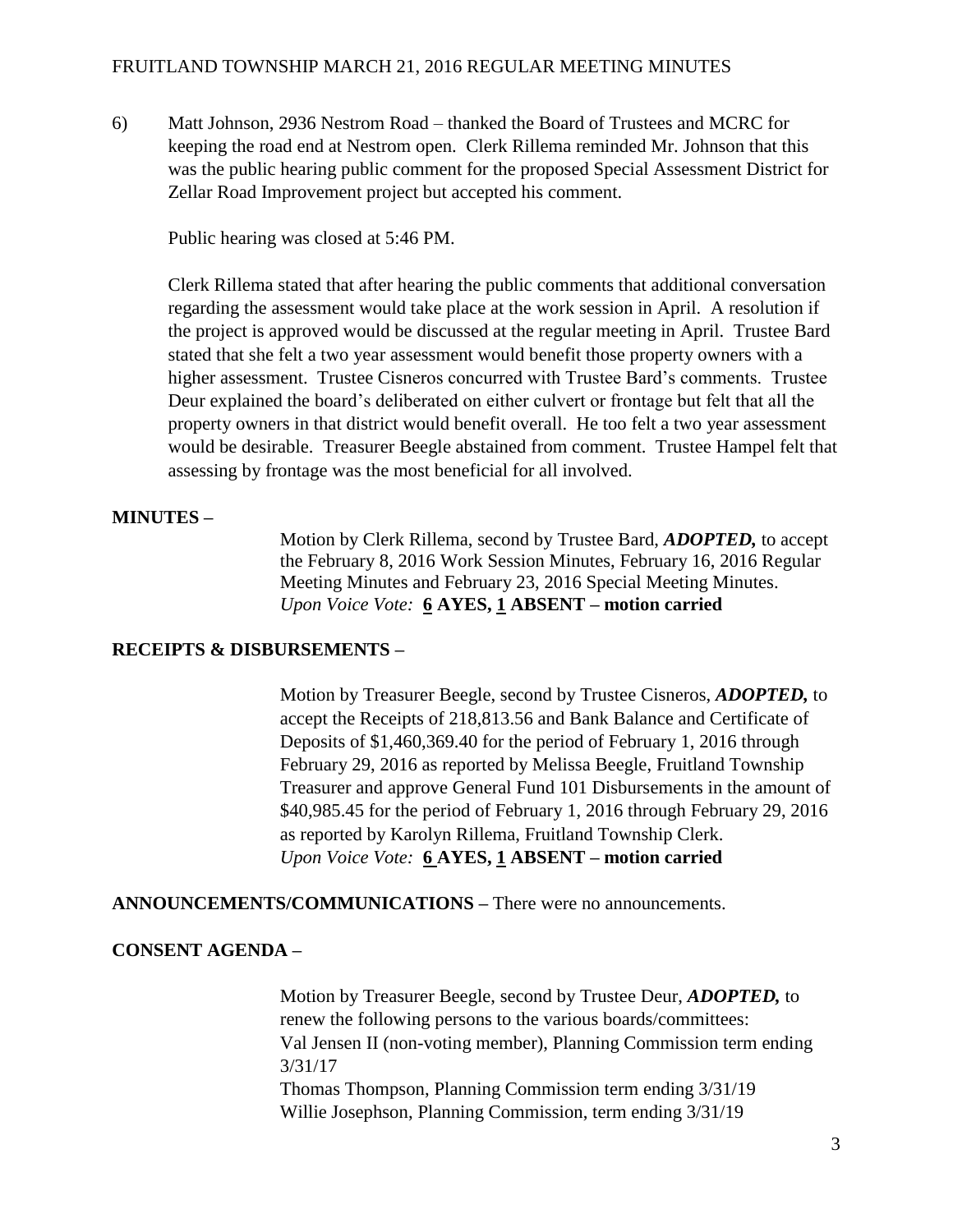#### FRUITLAND TOWNSHIP MARCH 21, 2016 REGULAR MEETING MINUTES

6) Matt Johnson, 2936 Nestrom Road – thanked the Board of Trustees and MCRC for keeping the road end at Nestrom open. Clerk Rillema reminded Mr. Johnson that this was the public hearing public comment for the proposed Special Assessment District for Zellar Road Improvement project but accepted his comment.

Public hearing was closed at 5:46 PM.

Clerk Rillema stated that after hearing the public comments that additional conversation regarding the assessment would take place at the work session in April. A resolution if the project is approved would be discussed at the regular meeting in April. Trustee Bard stated that she felt a two year assessment would benefit those property owners with a higher assessment. Trustee Cisneros concurred with Trustee Bard's comments. Trustee Deur explained the board's deliberated on either culvert or frontage but felt that all the property owners in that district would benefit overall. He too felt a two year assessment would be desirable. Treasurer Beegle abstained from comment. Trustee Hampel felt that assessing by frontage was the most beneficial for all involved.

## **MINUTES –**

Motion by Clerk Rillema, second by Trustee Bard, *ADOPTED,* to accept the February 8, 2016 Work Session Minutes, February 16, 2016 Regular Meeting Minutes and February 23, 2016 Special Meeting Minutes. *Upon Voice Vote:* **6 AYES, 1 ABSENT – motion carried**

#### **RECEIPTS & DISBURSEMENTS –**

Motion by Treasurer Beegle, second by Trustee Cisneros, *ADOPTED,* to accept the Receipts of 218,813.56 and Bank Balance and Certificate of Deposits of \$1,460,369.40 for the period of February 1, 2016 through February 29, 2016 as reported by Melissa Beegle, Fruitland Township Treasurer and approve General Fund 101 Disbursements in the amount of \$40,985.45 for the period of February 1, 2016 through February 29, 2016 as reported by Karolyn Rillema, Fruitland Township Clerk. *Upon Voice Vote:* **6 AYES, 1 ABSENT – motion carried**

**ANNOUNCEMENTS/COMMUNICATIONS –** There were no announcements.

#### **CONSENT AGENDA –**

Motion by Treasurer Beegle, second by Trustee Deur, *ADOPTED,* to renew the following persons to the various boards/committees: Val Jensen II (non-voting member), Planning Commission term ending 3/31/17 Thomas Thompson, Planning Commission term ending 3/31/19 Willie Josephson, Planning Commission, term ending 3/31/19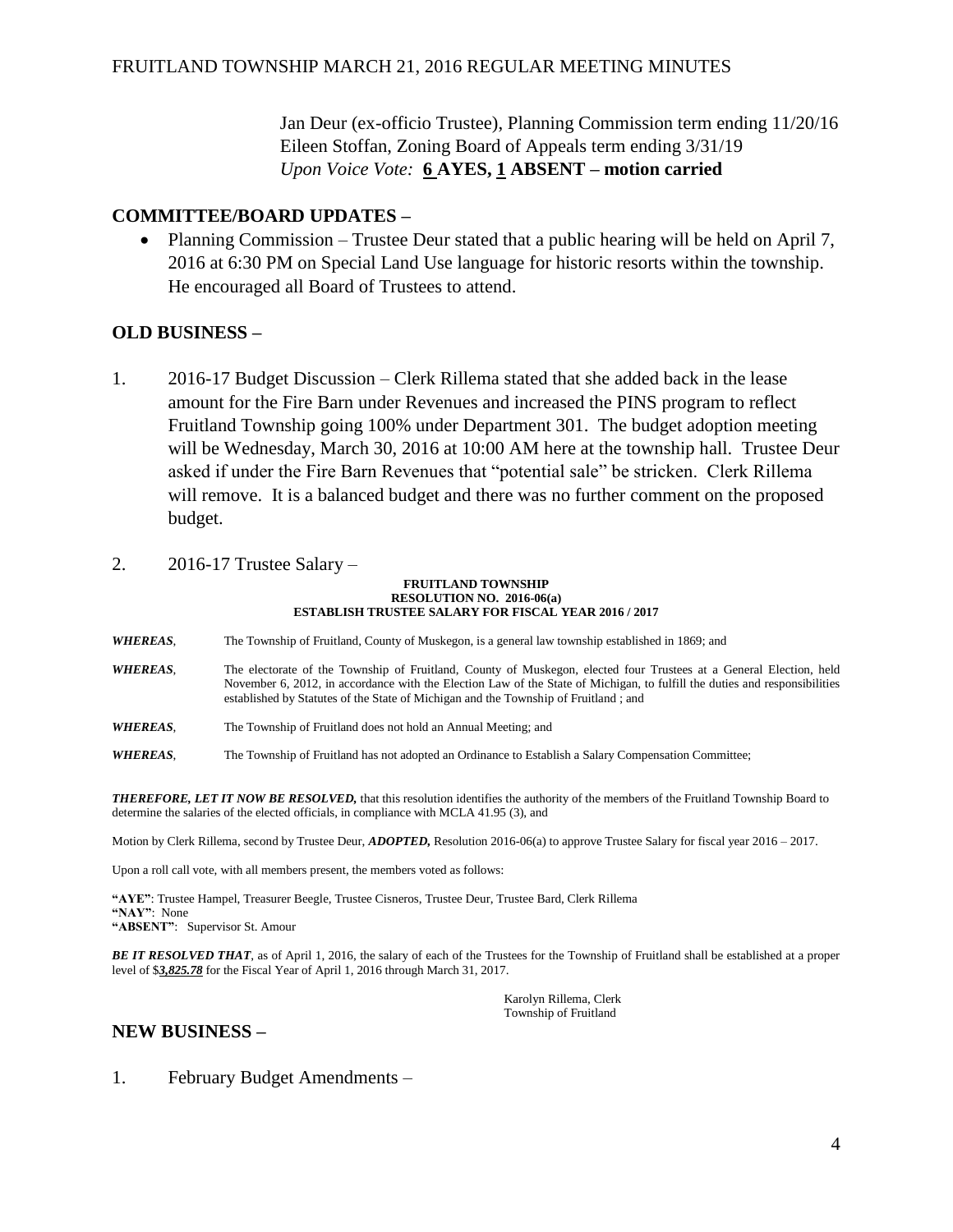Jan Deur (ex-officio Trustee), Planning Commission term ending 11/20/16 Eileen Stoffan, Zoning Board of Appeals term ending 3/31/19 *Upon Voice Vote:* **6 AYES, 1 ABSENT – motion carried**

## **COMMITTEE/BOARD UPDATES –**

• Planning Commission – Trustee Deur stated that a public hearing will be held on April 7, 2016 at 6:30 PM on Special Land Use language for historic resorts within the township. He encouraged all Board of Trustees to attend.

## **OLD BUSINESS –**

- 1. 2016-17 Budget Discussion Clerk Rillema stated that she added back in the lease amount for the Fire Barn under Revenues and increased the PINS program to reflect Fruitland Township going 100% under Department 301. The budget adoption meeting will be Wednesday, March 30, 2016 at 10:00 AM here at the township hall. Trustee Deur asked if under the Fire Barn Revenues that "potential sale" be stricken. Clerk Rillema will remove. It is a balanced budget and there was no further comment on the proposed budget.
- 2. 2016-17 Trustee Salary –

#### **FRUITLAND TOWNSHIP RESOLUTION NO. 2016-06(a) ESTABLISH TRUSTEE SALARY FOR FISCAL YEAR 2016 / 2017**

*WHEREAS*, The Township of Fruitland, County of Muskegon, is a general law township established in 1869; and

- *WHEREAS*, The electorate of the Township of Fruitland, County of Muskegon, elected four Trustees at a General Election, held November 6, 2012, in accordance with the Election Law of the State of Michigan, to fulfill the duties and responsibilities established by Statutes of the State of Michigan and the Township of Fruitland ; and
- *WHEREAS*, The Township of Fruitland does not hold an Annual Meeting; and

*WHEREAS*, The Township of Fruitland has not adopted an Ordinance to Establish a Salary Compensation Committee;

*THEREFORE, LET IT NOW BE RESOLVED,* that this resolution identifies the authority of the members of the Fruitland Township Board to determine the salaries of the elected officials, in compliance with MCLA 41.95 (3), and

Motion by Clerk Rillema, second by Trustee Deur, *ADOPTED,* Resolution 2016-06(a) to approve Trustee Salary for fiscal year 2016 – 2017.

Upon a roll call vote, with all members present, the members voted as follows:

**"AYE"**: Trustee Hampel, Treasurer Beegle, Trustee Cisneros, Trustee Deur, Trustee Bard, Clerk Rillema **"NAY"**: None **"ABSENT"**: Supervisor St. Amour

*BE IT RESOLVED THAT*, as of April 1, 2016, the salary of each of the Trustees for the Township of Fruitland shall be established at a proper level of \$*3,825.78* for the Fiscal Year of April 1, 2016 through March 31, 2017.

> Karolyn Rillema, Clerk Township of Fruitland

# **NEW BUSINESS –**

1. February Budget Amendments –